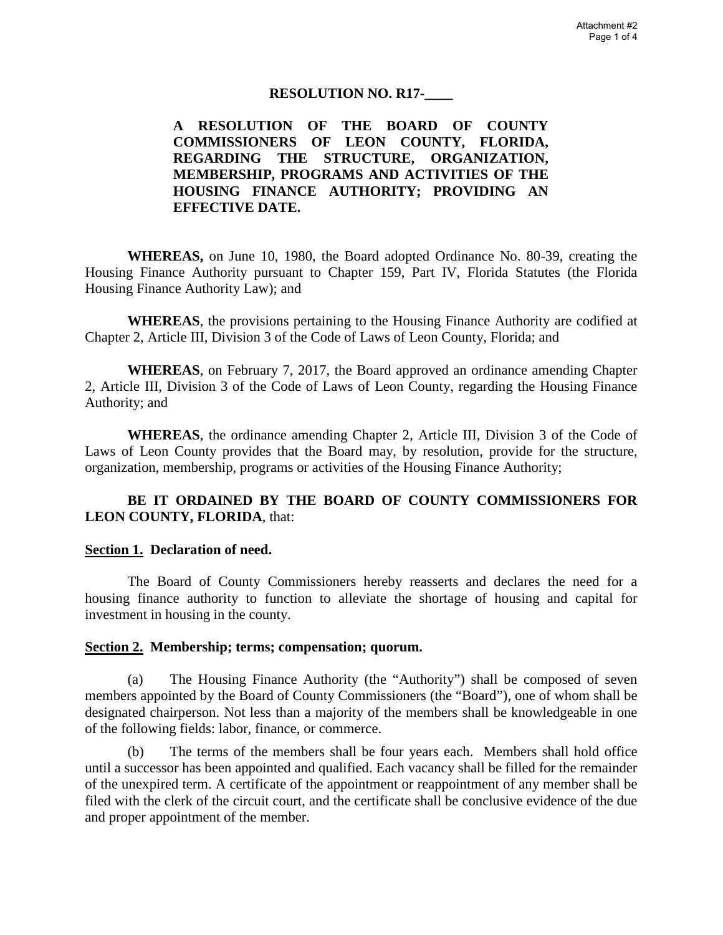### **RESOLUTION NO. R17-\_\_\_\_**

**A RESOLUTION OF THE BOARD OF COUNTY COMMISSIONERS OF LEON COUNTY, FLORIDA, REGARDING THE STRUCTURE, ORGANIZATION, MEMBERSHIP, PROGRAMS AND ACTIVITIES OF THE HOUSING FINANCE AUTHORITY; PROVIDING AN EFFECTIVE DATE.**

**WHEREAS,** on June 10, 1980, the Board adopted Ordinance No. 80-39, creating the Housing Finance Authority pursuant to Chapter 159, Part IV, Florida Statutes (the Florida Housing Finance Authority Law); and

**WHEREAS**, the provisions pertaining to the Housing Finance Authority are codified at Chapter 2, Article III, Division 3 of the Code of Laws of Leon County, Florida; and

**WHEREAS**, on February 7, 2017, the Board approved an ordinance amending Chapter 2, Article III, Division 3 of the Code of Laws of Leon County, regarding the Housing Finance Authority; and

**WHEREAS**, the ordinance amending Chapter 2, Article III, Division 3 of the Code of Laws of Leon County provides that the Board may, by resolution, provide for the structure, organization, membership, programs or activities of the Housing Finance Authority;

# **BE IT ORDAINED BY THE BOARD OF COUNTY COMMISSIONERS FOR LEON COUNTY, FLORIDA**, that:

#### **Section 1. Declaration of need.**

The Board of County Commissioners hereby reasserts and declares the need for a housing finance authority to function to alleviate the shortage of housing and capital for investment in housing in the county.

### **Section 2. Membership; terms; compensation; quorum.**

(a) The Housing Finance Authority (the "Authority") shall be composed of seven members appointed by the Board of County Commissioners (the "Board"), one of whom shall be designated chairperson. Not less than a majority of the members shall be knowledgeable in one of the following fields: labor, finance, or commerce.

(b) The terms of the members shall be four years each. Members shall hold office until a successor has been appointed and qualified. Each vacancy shall be filled for the remainder of the unexpired term. A certificate of the appointment or reappointment of any member shall be filed with the clerk of the circuit court, and the certificate shall be conclusive evidence of the due and proper appointment of the member.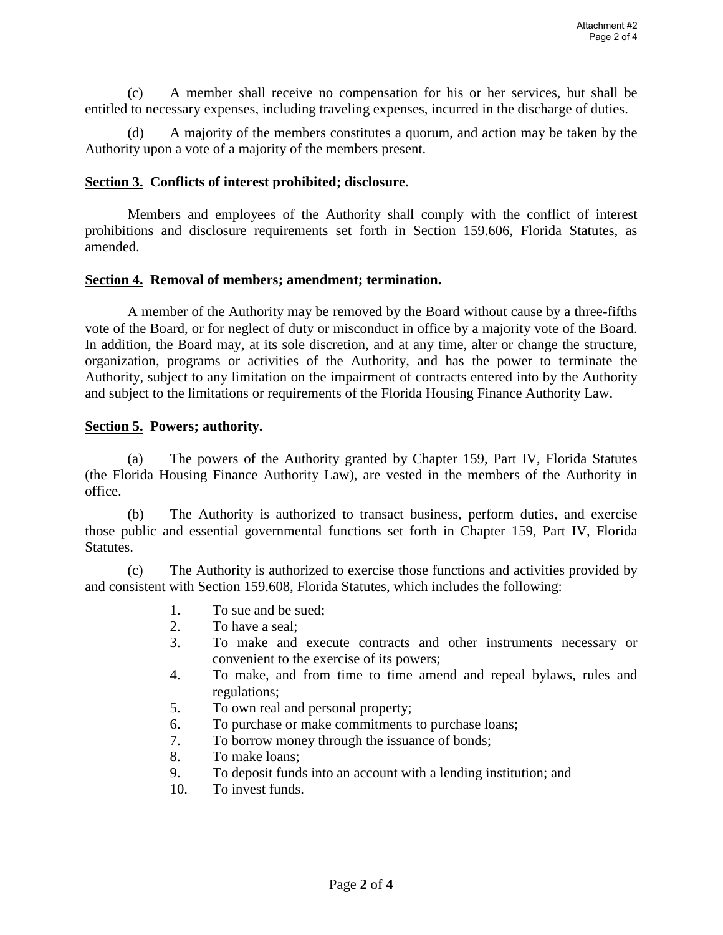(c) A member shall receive no compensation for his or her services, but shall be entitled to necessary expenses, including traveling expenses, incurred in the discharge of duties.

(d) A majority of the members constitutes a quorum, and action may be taken by the Authority upon a vote of a majority of the members present.

### **Section 3. Conflicts of interest prohibited; disclosure.**

Members and employees of the Authority shall comply with the conflict of interest prohibitions and disclosure requirements set forth in Section 159.606, Florida Statutes, as amended.

### **Section 4. Removal of members; amendment; termination.**

A member of the Authority may be removed by the Board without cause by a three-fifths vote of the Board, or for neglect of duty or misconduct in office by a majority vote of the Board. In addition, the Board may, at its sole discretion, and at any time, alter or change the structure, organization, programs or activities of the Authority, and has the power to terminate the Authority, subject to any limitation on the impairment of contracts entered into by the Authority and subject to the limitations or requirements of the Florida Housing Finance Authority Law.

### **Section 5. Powers; authority.**

(a) The powers of the Authority granted by Chapter 159, Part IV, Florida Statutes (the Florida Housing Finance Authority Law), are vested in the members of the Authority in office.

(b) The Authority is authorized to transact business, perform duties, and exercise those public and essential governmental functions set forth in Chapter 159, Part IV, Florida Statutes.

(c) The Authority is authorized to exercise those functions and activities provided by and consistent with Section 159.608, Florida Statutes, which includes the following:

- 1. To sue and be sued;
- 2. To have a seal;
- 3. To make and execute contracts and other instruments necessary or convenient to the exercise of its powers;
- 4. To make, and from time to time amend and repeal bylaws, rules and regulations;
- 5. To own real and personal property;
- 6. To purchase or make commitments to purchase loans;
- 7. To borrow money through the issuance of bonds;
- 8. To make loans;
- 9. To deposit funds into an account with a lending institution; and
- 10. To invest funds.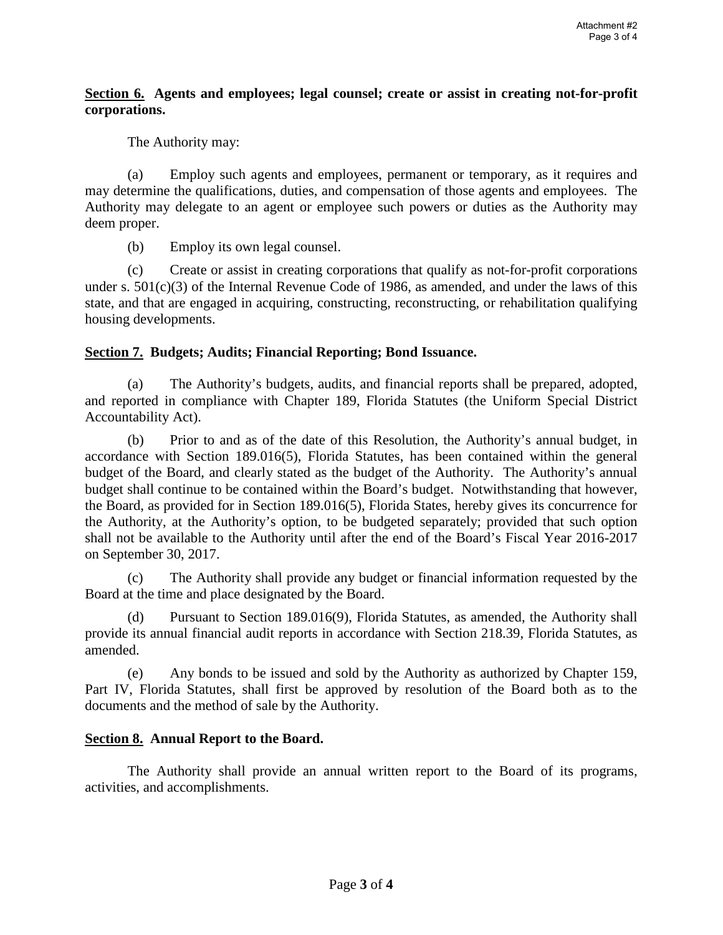# **Section 6. Agents and employees; legal counsel; create or assist in creating not-for-profit corporations.**

The Authority may:

(a) Employ such agents and employees, permanent or temporary, as it requires and may determine the qualifications, duties, and compensation of those agents and employees. The Authority may delegate to an agent or employee such powers or duties as the Authority may deem proper.

(b) Employ its own legal counsel.

(c) Create or assist in creating corporations that qualify as not-for-profit corporations under s. 501(c)(3) of the Internal Revenue Code of 1986, as amended, and under the laws of this state, and that are engaged in acquiring, constructing, reconstructing, or rehabilitation qualifying housing developments.

# **Section 7. Budgets; Audits; Financial Reporting; Bond Issuance.**

(a) The Authority's budgets, audits, and financial reports shall be prepared, adopted, and reported in compliance with Chapter 189, Florida Statutes (the Uniform Special District Accountability Act).

(b) Prior to and as of the date of this Resolution, the Authority's annual budget, in accordance with Section 189.016(5), Florida Statutes, has been contained within the general budget of the Board, and clearly stated as the budget of the Authority. The Authority's annual budget shall continue to be contained within the Board's budget. Notwithstanding that however, the Board, as provided for in Section 189.016(5), Florida States, hereby gives its concurrence for the Authority, at the Authority's option, to be budgeted separately; provided that such option shall not be available to the Authority until after the end of the Board's Fiscal Year 2016-2017 on September 30, 2017.

(c) The Authority shall provide any budget or financial information requested by the Board at the time and place designated by the Board.

(d) Pursuant to Section 189.016(9), Florida Statutes, as amended, the Authority shall provide its annual financial audit reports in accordance with Section 218.39, Florida Statutes, as amended.

(e) Any bonds to be issued and sold by the Authority as authorized by Chapter 159, Part IV, Florida Statutes, shall first be approved by resolution of the Board both as to the documents and the method of sale by the Authority.

### **Section 8. Annual Report to the Board.**

The Authority shall provide an annual written report to the Board of its programs, activities, and accomplishments.